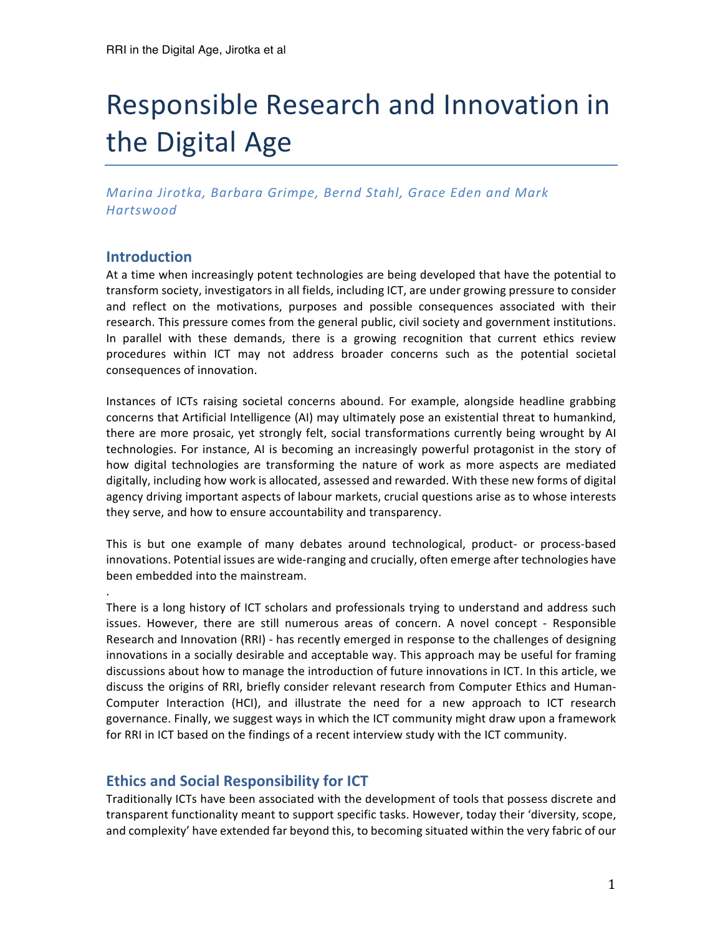# Responsible Research and Innovation in the Digital Age

*Marina Jirotka, Barbara Grimpe, Bernd Stahl, Grace Eden and Mark Hartswood*

## **Introduction**

. 

At a time when increasingly potent technologies are being developed that have the potential to transform society, investigators in all fields, including ICT, are under growing pressure to consider and reflect on the motivations, purposes and possible consequences associated with their research. This pressure comes from the general public, civil society and government institutions. In parallel with these demands, there is a growing recognition that current ethics review procedures within ICT may not address broader concerns such as the potential societal consequences of innovation.

Instances of ICTs raising societal concerns abound. For example, alongside headline grabbing concerns that Artificial Intelligence (AI) may ultimately pose an existential threat to humankind, there are more prosaic, yet strongly felt, social transformations currently being wrought by AI technologies. For instance, AI is becoming an increasingly powerful protagonist in the story of how digital technologies are transforming the nature of work as more aspects are mediated digitally, including how work is allocated, assessed and rewarded. With these new forms of digital agency driving important aspects of labour markets, crucial questions arise as to whose interests they serve, and how to ensure accountability and transparency.

This is but one example of many debates around technological, product- or process-based innovations. Potential issues are wide-ranging and crucially, often emerge after technologies have been embedded into the mainstream.

There is a long history of ICT scholars and professionals trying to understand and address such issues. However, there are still numerous areas of concern. A novel concept - Responsible Research and Innovation (RRI) - has recently emerged in response to the challenges of designing innovations in a socially desirable and acceptable way. This approach may be useful for framing discussions about how to manage the introduction of future innovations in ICT. In this article, we discuss the origins of RRI, briefly consider relevant research from Computer Ethics and Human-Computer Interaction (HCI), and illustrate the need for a new approach to ICT research governance. Finally, we suggest ways in which the ICT community might draw upon a framework for RRI in ICT based on the findings of a recent interview study with the ICT community.

# **Ethics and Social Responsibility for ICT**

Traditionally ICTs have been associated with the development of tools that possess discrete and transparent functionality meant to support specific tasks. However, today their 'diversity, scope, and complexity' have extended far beyond this, to becoming situated within the very fabric of our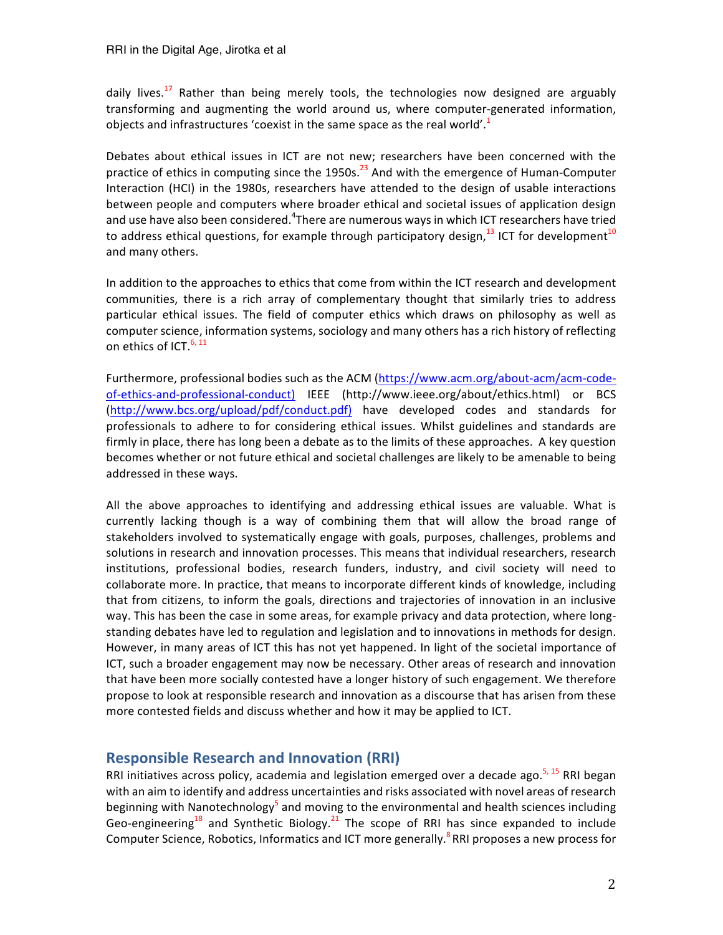daily lives.<sup>17</sup> Rather than being merely tools, the technologies now designed are arguably transforming and augmenting the world around us, where computer-generated information, objects and infrastructures 'coexist in the same space as the real world'.<sup>1</sup>

Debates about ethical issues in ICT are not new; researchers have been concerned with the practice of ethics in computing since the 1950s. $^{23}$  And with the emergence of Human-Computer Interaction (HCI) in the 1980s, researchers have attended to the design of usable interactions between people and computers where broader ethical and societal issues of application design and use have also been considered. $^4$ There are numerous ways in which ICT researchers have tried to address ethical questions, for example through participatory design,  $^{13}$  ICT for development $^{10}$ and many others.

In addition to the approaches to ethics that come from within the ICT research and development communities, there is a rich array of complementary thought that similarly tries to address particular ethical issues. The field of computer ethics which draws on philosophy as well as computer science, information systems, sociology and many others has a rich history of reflecting on ethics of ICT.<sup>6, 11</sup>

Furthermore, professional bodies such as the ACM (https://www.acm.org/about-acm/acm-codeof-ethics-and-professional-conduct) IEEE (http://www.ieee.org/about/ethics.html) or BCS (http://www.bcs.org/upload/pdf/conduct.pdf) have developed codes and standards for professionals to adhere to for considering ethical issues. Whilst guidelines and standards are firmly in place, there has long been a debate as to the limits of these approaches. A key question becomes whether or not future ethical and societal challenges are likely to be amenable to being addressed in these ways.

All the above approaches to identifying and addressing ethical issues are valuable. What is currently lacking though is a way of combining them that will allow the broad range of stakeholders involved to systematically engage with goals, purposes, challenges, problems and solutions in research and innovation processes. This means that individual researchers, research institutions, professional bodies, research funders, industry, and civil society will need to collaborate more. In practice, that means to incorporate different kinds of knowledge, including that from citizens, to inform the goals, directions and trajectories of innovation in an inclusive way. This has been the case in some areas, for example privacy and data protection, where longstanding debates have led to regulation and legislation and to innovations in methods for design. However, in many areas of ICT this has not yet happened. In light of the societal importance of ICT, such a broader engagement may now be necessary. Other areas of research and innovation that have been more socially contested have a longer history of such engagement. We therefore propose to look at responsible research and innovation as a discourse that has arisen from these more contested fields and discuss whether and how it may be applied to ICT.

# **Responsible Research and Innovation (RRI)**

RRI initiatives across policy, academia and legislation emerged over a decade ago.<sup>5, 15</sup> RRI began with an aim to identify and address uncertainties and risks associated with novel areas of research beginning with Nanotechnology<sup>5</sup> and moving to the environmental and health sciences including Geo-engineering<sup>18</sup> and Synthetic Biology.<sup>21</sup> The scope of RRI has since expanded to include Computer Science, Robotics, Informatics and ICT more generally.  $8$ RRI proposes a new process for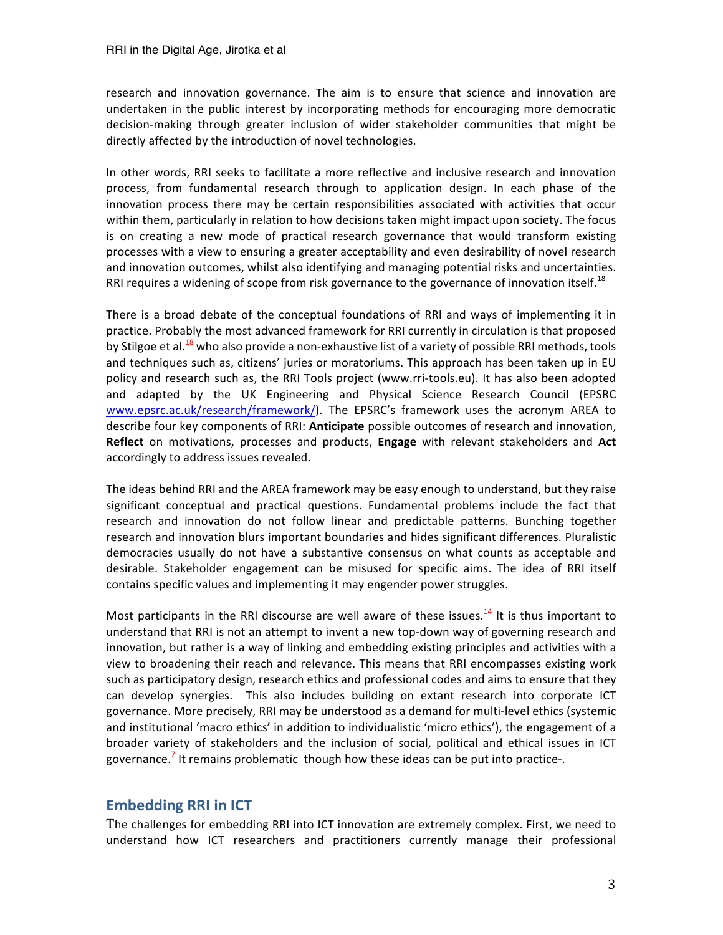research and innovation governance. The aim is to ensure that science and innovation are undertaken in the public interest by incorporating methods for encouraging more democratic decision-making through greater inclusion of wider stakeholder communities that might be directly affected by the introduction of novel technologies.

In other words, RRI seeks to facilitate a more reflective and inclusive research and innovation process, from fundamental research through to application design. In each phase of the innovation process there may be certain responsibilities associated with activities that occur within them, particularly in relation to how decisions taken might impact upon society. The focus is on creating a new mode of practical research governance that would transform existing processes with a view to ensuring a greater acceptability and even desirability of novel research and innovation outcomes, whilst also identifying and managing potential risks and uncertainties. RRI requires a widening of scope from risk governance to the governance of innovation itself.<sup>18</sup>

There is a broad debate of the conceptual foundations of RRI and ways of implementing it in practice. Probably the most advanced framework for RRI currently in circulation is that proposed by Stilgoe et al.<sup>18</sup> who also provide a non-exhaustive list of a variety of possible RRI methods, tools and techniques such as, citizens' juries or moratoriums. This approach has been taken up in EU policy and research such as, the RRI Tools project (www.rri-tools.eu). It has also been adopted and adapted by the UK Engineering and Physical Science Research Council (EPSRC www.epsrc.ac.uk/research/framework/). The EPSRC's framework uses the acronym AREA to describe four key components of RRI: **Anticipate** possible outcomes of research and innovation, **Reflect** on motivations, processes and products, **Engage** with relevant stakeholders and Act accordingly to address issues revealed.

The ideas behind RRI and the AREA framework may be easy enough to understand, but they raise significant conceptual and practical questions. Fundamental problems include the fact that research and innovation do not follow linear and predictable patterns. Bunching together research and innovation blurs important boundaries and hides significant differences. Pluralistic democracies usually do not have a substantive consensus on what counts as acceptable and desirable. Stakeholder engagement can be misused for specific aims. The idea of RRI itself contains specific values and implementing it may engender power struggles.

Most participants in the RRI discourse are well aware of these issues.<sup>14</sup> It is thus important to understand that RRI is not an attempt to invent a new top-down way of governing research and innovation, but rather is a way of linking and embedding existing principles and activities with a view to broadening their reach and relevance. This means that RRI encompasses existing work such as participatory design, research ethics and professional codes and aims to ensure that they can develop synergies. This also includes building on extant research into corporate ICT governance. More precisely, RRI may be understood as a demand for multi-level ethics (systemic and institutional 'macro ethics' in addition to individualistic 'micro ethics'), the engagement of a broader variety of stakeholders and the inclusion of social, political and ethical issues in ICT governance.<sup>7</sup> It remains problematic though how these ideas can be put into practice-.

# **Embedding RRI in ICT**

The challenges for embedding RRI into ICT innovation are extremely complex. First, we need to understand how ICT researchers and practitioners currently manage their professional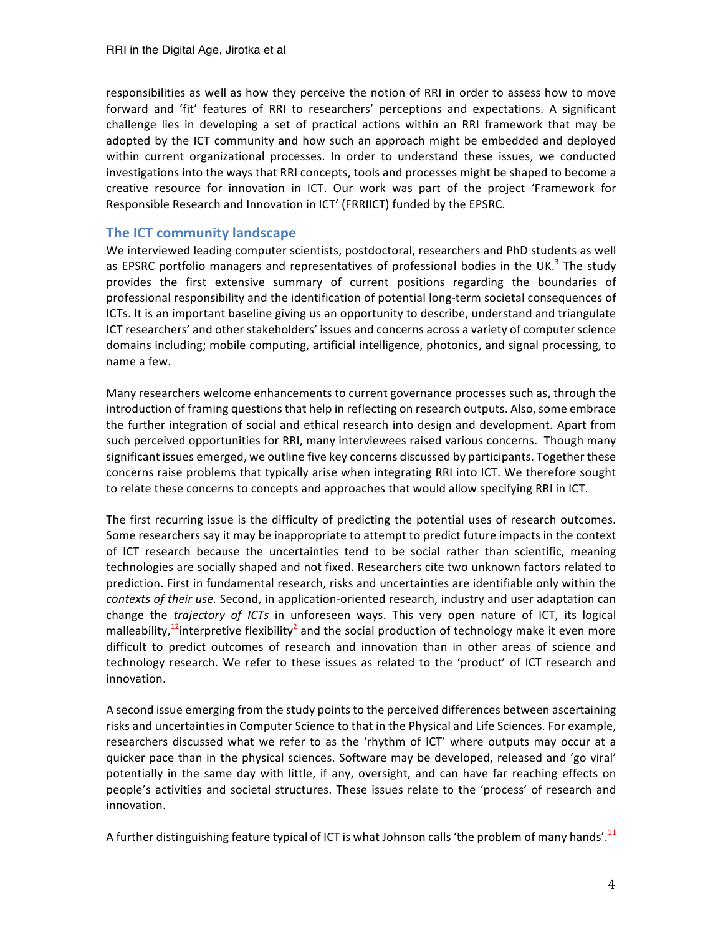responsibilities as well as how they perceive the notion of RRI in order to assess how to move forward and 'fit' features of RRI to researchers' perceptions and expectations. A significant challenge lies in developing a set of practical actions within an RRI framework that may be adopted by the ICT community and how such an approach might be embedded and deployed within current organizational processes. In order to understand these issues, we conducted investigations into the ways that RRI concepts, tools and processes might be shaped to become a creative resource for innovation in ICT. Our work was part of the project 'Framework for Responsible Research and Innovation in ICT' (FRRIICT) funded by the EPSRC.

#### **The ICT community landscape**

We interviewed leading computer scientists, postdoctoral, researchers and PhD students as well as EPSRC portfolio managers and representatives of professional bodies in the UK.<sup>3</sup> The study provides the first extensive summary of current positions regarding the boundaries of professional responsibility and the identification of potential long-term societal consequences of ICTs. It is an important baseline giving us an opportunity to describe, understand and triangulate ICT researchers' and other stakeholders' issues and concerns across a variety of computer science domains including; mobile computing, artificial intelligence, photonics, and signal processing, to name a few.

Many researchers welcome enhancements to current governance processes such as, through the introduction of framing questions that help in reflecting on research outputs. Also, some embrace the further integration of social and ethical research into design and development. Apart from such perceived opportunities for RRI, many interviewees raised various concerns. Though many significant issues emerged, we outline five key concerns discussed by participants. Together these concerns raise problems that typically arise when integrating RRI into ICT. We therefore sought to relate these concerns to concepts and approaches that would allow specifying RRI in ICT.

The first recurring issue is the difficulty of predicting the potential uses of research outcomes. Some researchers say it may be inappropriate to attempt to predict future impacts in the context of ICT research because the uncertainties tend to be social rather than scientific, meaning technologies are socially shaped and not fixed. Researchers cite two unknown factors related to prediction. First in fundamental research, risks and uncertainties are identifiable only within the contexts of their use. Second, in application-oriented research, industry and user adaptation can change the *trajectory of ICTs* in unforeseen ways. This very open nature of ICT, its logical malleability,<sup>12</sup>interpretive flexibility<sup>2</sup> and the social production of technology make it even more difficult to predict outcomes of research and innovation than in other areas of science and technology research. We refer to these issues as related to the 'product' of ICT research and innovation. 

A second issue emerging from the study points to the perceived differences between ascertaining risks and uncertainties in Computer Science to that in the Physical and Life Sciences. For example, researchers discussed what we refer to as the 'rhythm of ICT' where outputs may occur at a quicker pace than in the physical sciences. Software may be developed, released and 'go viral' potentially in the same day with little, if any, oversight, and can have far reaching effects on people's activities and societal structures. These issues relate to the 'process' of research and innovation. 

A further distinguishing feature typical of ICT is what Johnson calls 'the problem of many hands'. $^{11}$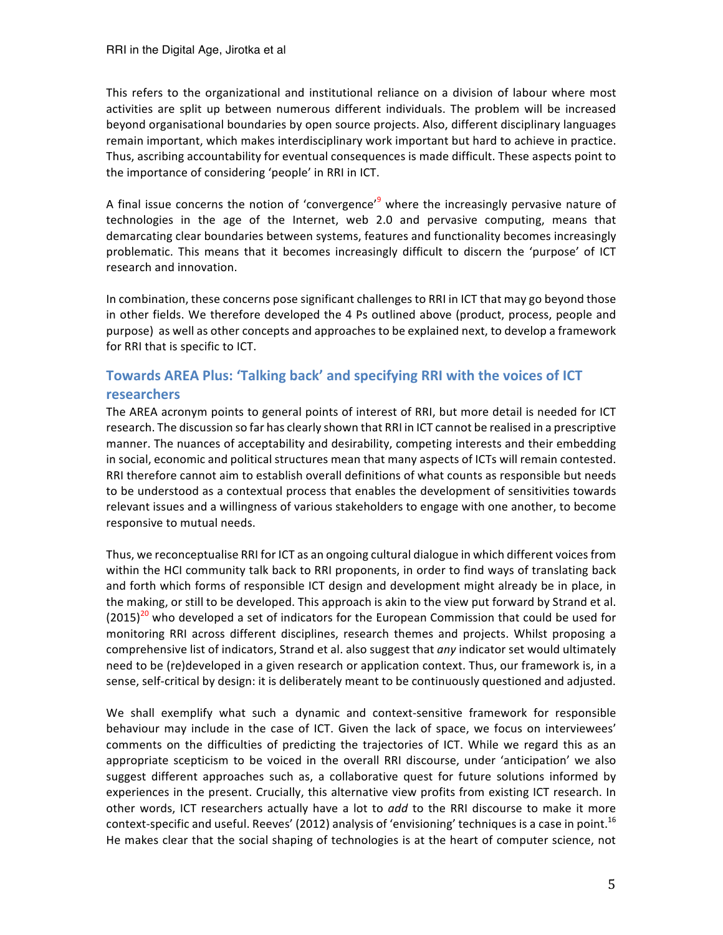This refers to the organizational and institutional reliance on a division of labour where most activities are split up between numerous different individuals. The problem will be increased beyond organisational boundaries by open source projects. Also, different disciplinary languages remain important, which makes interdisciplinary work important but hard to achieve in practice. Thus, ascribing accountability for eventual consequences is made difficult. These aspects point to the importance of considering 'people' in RRI in ICT.

A final issue concerns the notion of 'convergence'<sup>9</sup> where the increasingly pervasive nature of technologies in the age of the Internet, web 2.0 and pervasive computing, means that demarcating clear boundaries between systems, features and functionality becomes increasingly problematic. This means that it becomes increasingly difficult to discern the 'purpose' of ICT research and innovation.

In combination, these concerns pose significant challenges to RRI in ICT that may go beyond those in other fields. We therefore developed the 4 Ps outlined above (product, process, people and purpose) as well as other concepts and approaches to be explained next, to develop a framework for RRI that is specific to ICT.

# Towards AREA Plus: 'Talking back' and specifying RRI with the voices of ICT **researchers**

The AREA acronym points to general points of interest of RRI, but more detail is needed for ICT research. The discussion so far has clearly shown that RRI in ICT cannot be realised in a prescriptive manner. The nuances of acceptability and desirability, competing interests and their embedding in social, economic and political structures mean that many aspects of ICTs will remain contested. RRI therefore cannot aim to establish overall definitions of what counts as responsible but needs to be understood as a contextual process that enables the development of sensitivities towards relevant issues and a willingness of various stakeholders to engage with one another, to become responsive to mutual needs.

Thus, we reconceptualise RRI for ICT as an ongoing cultural dialogue in which different voices from within the HCI community talk back to RRI proponents, in order to find ways of translating back and forth which forms of responsible ICT design and development might already be in place, in the making, or still to be developed. This approach is akin to the view put forward by Strand et al.  $(2015)^{20}$  who developed a set of indicators for the European Commission that could be used for monitoring RRI across different disciplines, research themes and projects. Whilst proposing a comprehensive list of indicators, Strand et al. also suggest that *any* indicator set would ultimately need to be (re)developed in a given research or application context. Thus, our framework is, in a sense, self-critical by design: it is deliberately meant to be continuously questioned and adjusted.

We shall exemplify what such a dynamic and context-sensitive framework for responsible behaviour may include in the case of ICT. Given the lack of space, we focus on interviewees' comments on the difficulties of predicting the trajectories of ICT. While we regard this as an appropriate scepticism to be voiced in the overall RRI discourse, under 'anticipation' we also suggest different approaches such as, a collaborative quest for future solutions informed by experiences in the present. Crucially, this alternative view profits from existing ICT research. In other words, ICT researchers actually have a lot to *add* to the RRI discourse to make it more context-specific and useful. Reeves' (2012) analysis of 'envisioning' techniques is a case in point.<sup>16</sup> He makes clear that the social shaping of technologies is at the heart of computer science, not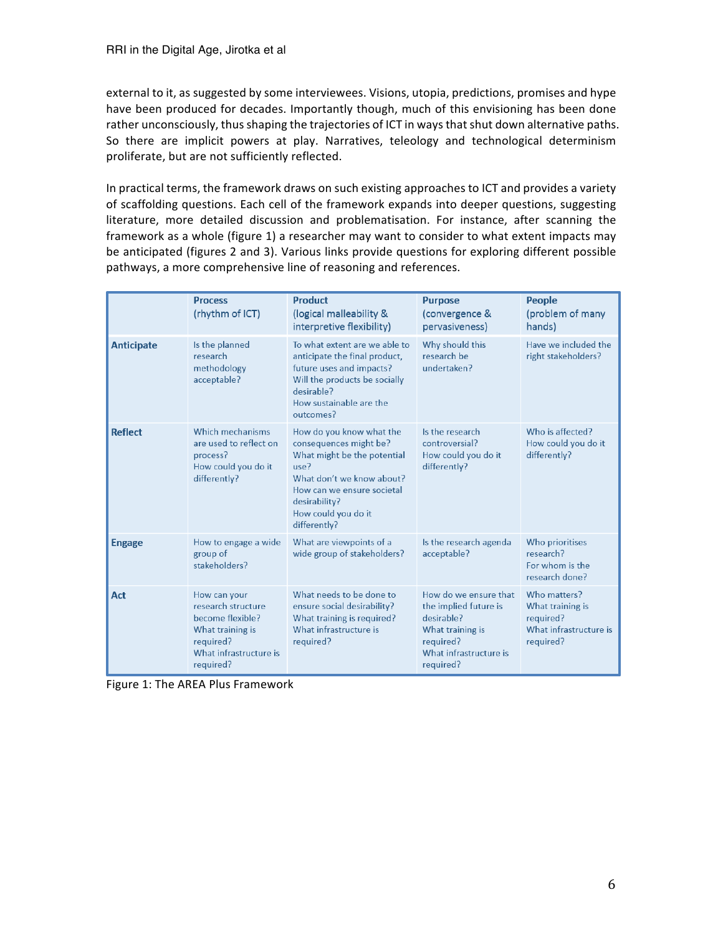external to it, as suggested by some interviewees. Visions, utopia, predictions, promises and hype have been produced for decades. Importantly though, much of this envisioning has been done rather unconsciously, thus shaping the trajectories of ICT in ways that shut down alternative paths. So there are implicit powers at play. Narratives, teleology and technological determinism proliferate, but are not sufficiently reflected.

In practical terms, the framework draws on such existing approaches to ICT and provides a variety of scaffolding questions. Each cell of the framework expands into deeper questions, suggesting literature, more detailed discussion and problematisation. For instance, after scanning the framework as a whole (figure 1) a researcher may want to consider to what extent impacts may be anticipated (figures 2 and 3). Various links provide questions for exploring different possible pathways, a more comprehensive line of reasoning and references.

|                   | <b>Process</b><br>(rhythm of ICT)                                                                                              | <b>Product</b><br>(logical malleability &<br>interpretive flexibility)                                                                                                                                       | <b>Purpose</b><br>(convergence &<br>pervasiveness)                                                                                   | People<br>(problem of many<br>hands)                                                 |
|-------------------|--------------------------------------------------------------------------------------------------------------------------------|--------------------------------------------------------------------------------------------------------------------------------------------------------------------------------------------------------------|--------------------------------------------------------------------------------------------------------------------------------------|--------------------------------------------------------------------------------------|
| <b>Anticipate</b> | Is the planned<br>research<br>methodology<br>acceptable?                                                                       | To what extent are we able to<br>anticipate the final product,<br>future uses and impacts?<br>Will the products be socially<br>desirable?<br>How sustainable are the<br>outcomes?                            | Why should this<br>research be<br>undertaken?                                                                                        | Have we included the<br>right stakeholders?                                          |
| <b>Reflect</b>    | Which mechanisms<br>are used to reflect on<br>process?<br>How could you do it<br>differently?                                  | How do you know what the<br>consequences might be?<br>What might be the potential<br>use?<br>What don't we know about?<br>How can we ensure societal<br>desirability?<br>How could you do it<br>differently? | Is the research<br>controversial?<br>How could you do it<br>differently?                                                             | Who is affected?<br>How could you do it<br>differently?                              |
| <b>Engage</b>     | How to engage a wide<br>group of<br>stakeholders?                                                                              | What are viewpoints of a<br>wide group of stakeholders?                                                                                                                                                      | Is the research agenda<br>acceptable?                                                                                                | Who prioritises<br>research?<br>For whom is the<br>research done?                    |
| Act               | How can your<br>research structure<br>become flexible?<br>What training is<br>required?<br>What infrastructure is<br>required? | What needs to be done to<br>ensure social desirability?<br>What training is required?<br>What infrastructure is<br>required?                                                                                 | How do we ensure that<br>the implied future is<br>desirable?<br>What training is<br>required?<br>What infrastructure is<br>required? | Who matters?<br>What training is<br>required?<br>What infrastructure is<br>required? |

Figure 1: The AREA Plus Framework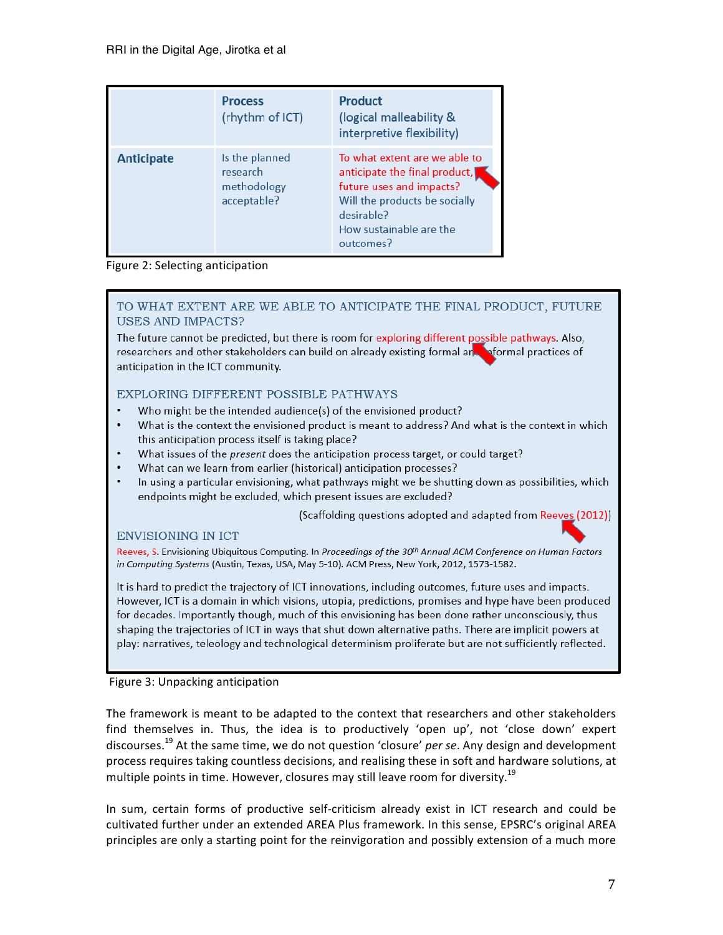|                   | <b>Process</b><br>(rhythm of ICT)                        | <b>Product</b><br>(logical malleability &<br>interpretive flexibility)                                                                                                            |
|-------------------|----------------------------------------------------------|-----------------------------------------------------------------------------------------------------------------------------------------------------------------------------------|
| <b>Anticipate</b> | Is the planned<br>research<br>methodology<br>acceptable? | To what extent are we able to<br>anticipate the final product,<br>future uses and impacts?<br>Will the products be socially<br>desirable?<br>How sustainable are the<br>outcomes? |

#### Figure 2: Selecting anticipation

#### TO WHAT EXTENT ARE WE ABLE TO ANTICIPATE THE FINAL PRODUCT, FUTURE **USES AND IMPACTS?**

The future cannot be predicted, but there is room for exploring different possible pathways. Also, researchers and other stakeholders can build on already existing formal and normal practices of anticipation in the ICT community.

#### EXPLORING DIFFERENT POSSIBLE PATHWAYS

- Who might be the intended audience(s) of the envisioned product?
- What is the context the envisioned product is meant to address? And what is the context in which this anticipation process itself is taking place?
- What issues of the present does the anticipation process target, or could target?
- What can we learn from earlier (historical) anticipation processes?
- In using a particular envisioning, what pathways might we be shutting down as possibilities, which endpoints might be excluded, which present issues are excluded?

(Scaffolding questions adopted and adapted from Reeves (2012))

#### **ENVISIONING IN ICT**

Reeves, S. Envisioning Ubiquitous Computing. In Proceedings of the 30th Annual ACM Conference on Human Factors in Computing Systems (Austin, Texas, USA, May 5-10). ACM Press, New York, 2012, 1573-1582.

It is hard to predict the trajectory of ICT innovations, including outcomes, future uses and impacts. However, ICT is a domain in which visions, utopia, predictions, promises and hype have been produced for decades. Importantly though, much of this envisioning has been done rather unconsciously, thus shaping the trajectories of ICT in ways that shut down alternative paths. There are implicit powers at play: narratives, teleology and technological determinism proliferate but are not sufficiently reflected.

#### Figure 3: Unpacking anticipation

The framework is meant to be adapted to the context that researchers and other stakeholders find themselves in. Thus, the idea is to productively 'open up', not 'close down' expert discourses.<sup>19</sup> At the same time, we do not question 'closure' *per se*. Any design and development process requires taking countless decisions, and realising these in soft and hardware solutions, at multiple points in time. However, closures may still leave room for diversity. $^{19}$ 

In sum, certain forms of productive self-criticism already exist in ICT research and could be cultivated further under an extended AREA Plus framework. In this sense, EPSRC's original AREA principles are only a starting point for the reinvigoration and possibly extension of a much more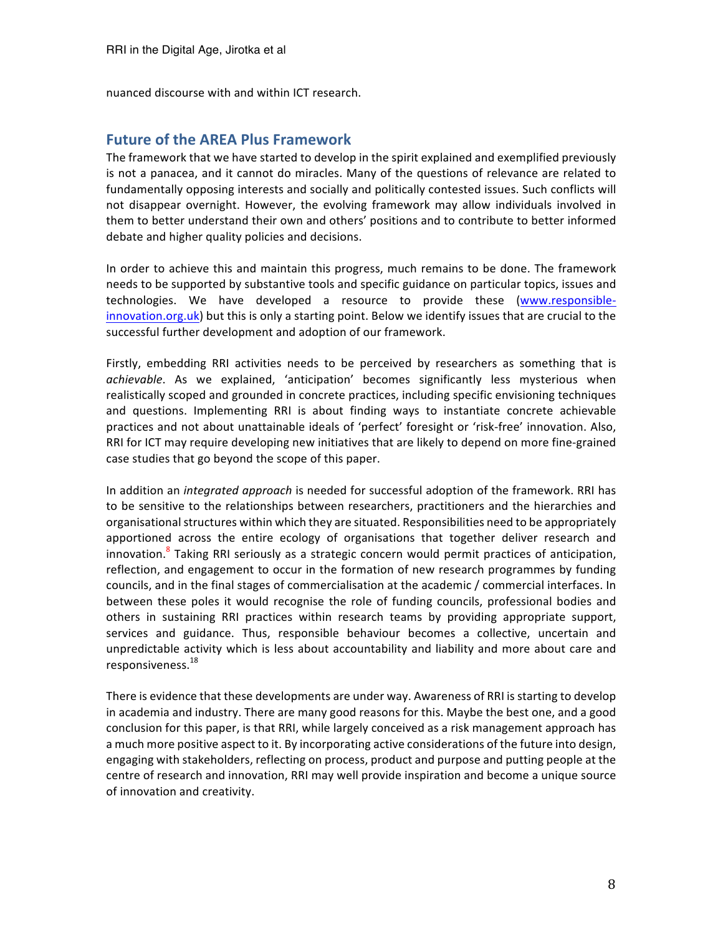nuanced discourse with and within ICT research. 

## **Future of the AREA Plus Framework**

The framework that we have started to develop in the spirit explained and exemplified previously is not a panacea, and it cannot do miracles. Many of the questions of relevance are related to fundamentally opposing interests and socially and politically contested issues. Such conflicts will not disappear overnight. However, the evolving framework may allow individuals involved in them to better understand their own and others' positions and to contribute to better informed debate and higher quality policies and decisions.

In order to achieve this and maintain this progress, much remains to be done. The framework needs to be supported by substantive tools and specific guidance on particular topics, issues and technologies. We have developed a resource to provide these (www.responsibleinnovation.org.uk) but this is only a starting point. Below we identify issues that are crucial to the successful further development and adoption of our framework.

Firstly, embedding RRI activities needs to be perceived by researchers as something that is achievable. As we explained, 'anticipation' becomes significantly less mysterious when realistically scoped and grounded in concrete practices, including specific envisioning techniques and questions. Implementing RRI is about finding ways to instantiate concrete achievable practices and not about unattainable ideals of 'perfect' foresight or 'risk-free' innovation. Also, RRI for ICT may require developing new initiatives that are likely to depend on more fine-grained case studies that go beyond the scope of this paper.

In addition an *integrated approach* is needed for successful adoption of the framework. RRI has to be sensitive to the relationships between researchers, practitioners and the hierarchies and organisational structures within which they are situated. Responsibilities need to be appropriately apportioned across the entire ecology of organisations that together deliver research and innovation.<sup>8</sup> Taking RRI seriously as a strategic concern would permit practices of anticipation, reflection, and engagement to occur in the formation of new research programmes by funding councils, and in the final stages of commercialisation at the academic / commercial interfaces. In between these poles it would recognise the role of funding councils, professional bodies and others in sustaining RRI practices within research teams by providing appropriate support, services and guidance. Thus, responsible behaviour becomes a collective, uncertain and unpredictable activity which is less about accountability and liability and more about care and responsiveness. 18

There is evidence that these developments are under way. Awareness of RRI is starting to develop in academia and industry. There are many good reasons for this. Maybe the best one, and a good conclusion for this paper, is that RRI, while largely conceived as a risk management approach has a much more positive aspect to it. By incorporating active considerations of the future into design, engaging with stakeholders, reflecting on process, product and purpose and putting people at the centre of research and innovation, RRI may well provide inspiration and become a unique source of innovation and creativity.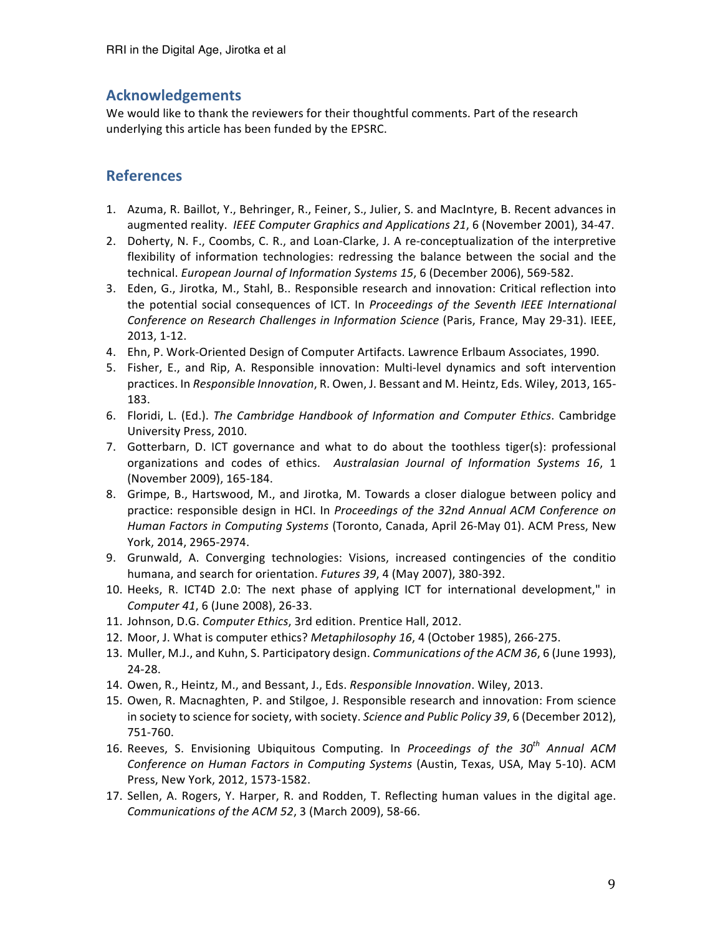# **Acknowledgements**

We would like to thank the reviewers for their thoughtful comments. Part of the research underlying this article has been funded by the EPSRC.

# **References**

- 1. Azuma, R. Baillot, Y., Behringer, R., Feiner, S., Julier, S. and MacIntyre, B. Recent advances in augmented reality. IEEE Computer Graphics and Applications 21, 6 (November 2001), 34-47.
- 2. Doherty, N. F., Coombs, C. R., and Loan-Clarke, J. A re-conceptualization of the interpretive flexibility of information technologies: redressing the balance between the social and the technical. *European Journal of Information Systems* 15, 6 (December 2006), 569-582.
- 3. Eden, G., Jirotka, M., Stahl, B.. Responsible research and innovation: Critical reflection into the potential social consequences of ICT. In *Proceedings of the Seventh IEEE International Conference on Research Challenges in Information Science* (Paris, France, May 29-31). IEEE, 2013, 1-12.
- 4. Ehn, P. Work-Oriented Design of Computer Artifacts. Lawrence Erlbaum Associates, 1990.
- 5. Fisher, E., and Rip, A. Responsible innovation: Multi-level dynamics and soft intervention practices. In *Responsible Innovation*, R. Owen, J. Bessant and M. Heintz, Eds. Wiley, 2013, 165-183.
- 6. Floridi, L. (Ed.). *The Cambridge Handbook of Information and Computer Ethics*. Cambridge University Press, 2010.
- 7. Gotterbarn, D. ICT governance and what to do about the toothless tiger(s): professional organizations and codes of ethics. Australasian Journal of Information Systems 16, 1 (November 2009), 165-184.
- 8. Grimpe, B., Hartswood, M., and Jirotka, M. Towards a closer dialogue between policy and practice: responsible design in HCI. In *Proceedings of the 32nd Annual ACM Conference on Human Factors in Computing Systems* (Toronto, Canada, April 26-May 01). ACM Press, New York, 2014, 2965-2974.
- 9. Grunwald, A. Converging technologies: Visions, increased contingencies of the conditio humana, and search for orientation. Futures 39, 4 (May 2007), 380-392.
- 10. Heeks, R. ICT4D 2.0: The next phase of applying ICT for international development," in *Computer* 41, 6 (June 2008), 26-33.
- 11. Johnson, D.G. Computer Ethics, 3rd edition. Prentice Hall, 2012.
- 12. Moor, J. What is computer ethics? *Metaphilosophy* 16, 4 (October 1985), 266-275.
- 13. Muller, M.J., and Kuhn, S. Participatory design. *Communications of the ACM 36*, 6 (June 1993), 24-28.
- 14. Owen, R., Heintz, M., and Bessant, J., Eds. *Responsible Innovation*. Wiley, 2013.
- 15. Owen, R. Macnaghten, P. and Stilgoe, J. Responsible research and innovation: From science in society to science for society, with society. *Science and Public Policy* 39, 6 (December 2012), 751-760.
- 16. Reeves, S. Envisioning Ubiquitous Computing. In *Proceedings of the 30<sup>th</sup>* Annual ACM *Conference on Human Factors in Computing Systems* (Austin, Texas, USA, May 5-10). ACM Press, New York, 2012, 1573-1582.
- 17. Sellen, A. Rogers, Y. Harper, R. and Rodden, T. Reflecting human values in the digital age. *Communications of the ACM 52, 3 (March 2009), 58-66.*